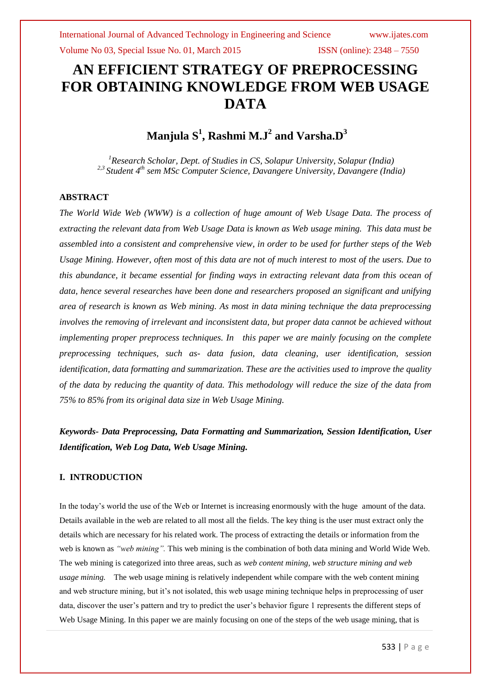Volume No 03, Special Issue No. 01, March 2015 **ISSN** (online): 2348 – 7550

# **AN EFFICIENT STRATEGY OF PREPROCESSING FOR OBTAINING KNOWLEDGE FROM WEB USAGE DATA**

## **Manjula S<sup>1</sup> , Rashmi M.J<sup>2</sup> and Varsha.D<sup>3</sup>**

*<sup>1</sup>Research Scholar, Dept. of Studies in CS, Solapur University, Solapur (India) 2,3 Student 4th sem MSc Computer Science, Davangere University, Davangere (India)*

### **ABSTRACT**

*The World Wide Web (WWW) is a collection of huge amount of Web Usage Data. The process of extracting the relevant data from Web Usage Data is known as Web usage mining. This data must be assembled into a consistent and comprehensive view, in order to be used for further steps of the Web Usage Mining. However, often most of this data are not of much interest to most of the users. Due to this abundance, it became essential for finding ways in extracting relevant data from this ocean of data, hence several researches have been done and researchers proposed an significant and unifying area of research is known as Web mining. As most in data mining technique the data preprocessing involves the removing of irrelevant and inconsistent data, but proper data cannot be achieved without implementing proper preprocess techniques. In this paper we are mainly focusing on the complete preprocessing techniques, such as- data fusion, data cleaning, user identification, session identification, data formatting and summarization. These are the activities used to improve the quality of the data by reducing the quantity of data. This methodology will reduce the size of the data from 75% to 85% from its original data size in Web Usage Mining.*

*Keywords- Data Preprocessing, Data Formatting and Summarization, Session Identification, User Identification, Web Log Data, Web Usage Mining.*

### **I. INTRODUCTION**

In the today's world the use of the Web or Internet is increasing enormously with the huge amount of the data. Details available in the web are related to all most all the fields. The key thing is the user must extract only the details which are necessary for his related work. The process of extracting the details or information from the web is known as *"web mining".* This web mining is the combination of both data mining and World Wide Web. The web mining is categorized into three areas, such as *web content mining, web structure mining and web usage mining.* The web usage mining is relatively independent while compare with the web content mining and web structure mining, but it's not isolated, this web usage mining technique helps in preprocessing of user data, discover the user's pattern and try to predict the user's behavior figure 1 represents the different steps of Web Usage Mining. In this paper we are mainly focusing on one of the steps of the web usage mining, that is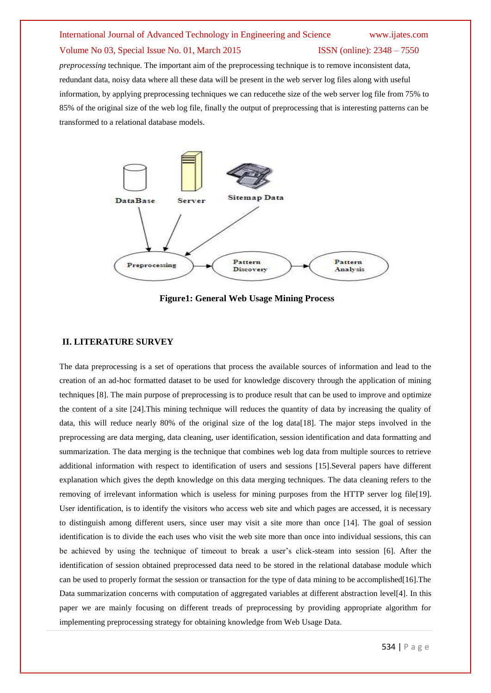*preprocessing* technique. The important aim of the preprocessing technique is to remove inconsistent data, redundant data, noisy data where all these data will be present in the web server log files along with useful information, by applying preprocessing techniques we can reducethe size of the web server log file from 75% to 85% of the original size of the web log file, finally the output of preprocessing that is interesting patterns can be transformed to a relational database models.



**Figure1: General Web Usage Mining Process**

#### **II. LITERATURE SURVEY**

The data preprocessing is a set of operations that process the available sources of information and lead to the creation of an ad-hoc formatted dataset to be used for knowledge discovery through the application of mining techniques [8]. The main purpose of preprocessing is to produce result that can be used to improve and optimize the content of a site [24].This mining technique will reduces the quantity of data by increasing the quality of data, this will reduce nearly 80% of the original size of the log data[18]. The major steps involved in the preprocessing are data merging, data cleaning, user identification, session identification and data formatting and summarization. The data merging is the technique that combines web log data from multiple sources to retrieve additional information with respect to identification of users and sessions [15].Several papers have different explanation which gives the depth knowledge on this data merging techniques. The data cleaning refers to the removing of irrelevant information which is useless for mining purposes from the HTTP server log file[19]. User identification, is to identify the visitors who access web site and which pages are accessed, it is necessary to distinguish among different users, since user may visit a site more than once [14]. The goal of session identification is to divide the each uses who visit the web site more than once into individual sessions, this can be achieved by using the technique of timeout to break a user's click-steam into session [6]. After the identification of session obtained preprocessed data need to be stored in the relational database module which can be used to properly format the session or transaction for the type of data mining to be accomplished [16]. The Data summarization concerns with computation of aggregated variables at different abstraction level[4]. In this paper we are mainly focusing on different treads of preprocessing by providing appropriate algorithm for implementing preprocessing strategy for obtaining knowledge from Web Usage Data.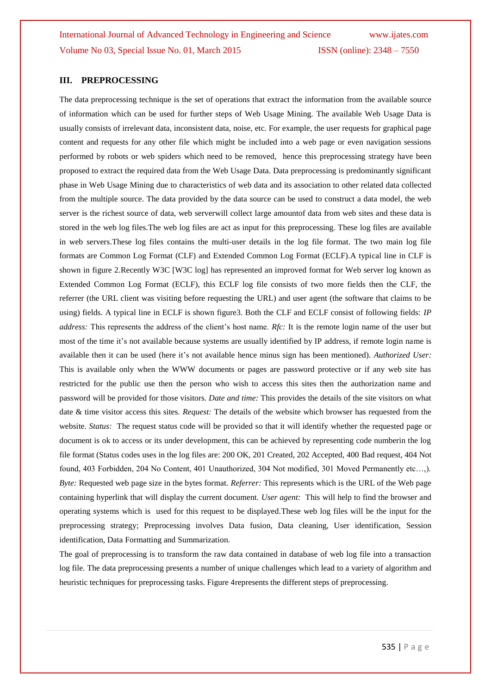#### **III. PREPROCESSING**

The data preprocessing technique is the set of operations that extract the information from the available source of information which can be used for further steps of Web Usage Mining. The available Web Usage Data is usually consists of irrelevant data, inconsistent data, noise, etc. For example, the user requests for graphical page content and requests for any other file which might be included into a web page or even navigation sessions performed by robots or web spiders which need to be removed, hence this preprocessing strategy have been proposed to extract the required data from the Web Usage Data. Data preprocessing is predominantly significant phase in Web Usage Mining due to characteristics of web data and its association to other related data collected from the multiple source. The data provided by the data source can be used to construct a data model, the web server is the richest source of data, web serverwill collect large amountof data from web sites and these data is stored in the web log files.The web log files are act as input for this preprocessing. These log files are available in web servers.These log files contains the multi-user details in the log file format. The two main log file formats are Common Log Format (CLF) and Extended Common Log Format (ECLF).A typical line in CLF is shown in figure 2.Recently W3C [W3C log] has represented an improved format for Web server log known as Extended Common Log Format (ECLF), this ECLF log file consists of two more fields then the CLF, the referrer (the URL client was visiting before requesting the URL) and user agent (the software that claims to be using) fields. A typical line in ECLF is shown figure3. Both the CLF and ECLF consist of following fields: *IP address:* This represents the address of the client's host name. *Rfc:* It is the remote login name of the user but most of the time it's not available because systems are usually identified by IP address, if remote login name is available then it can be used (here it's not available hence minus sign has been mentioned). *Authorized User:* This is available only when the WWW documents or pages are password protective or if any web site has restricted for the public use then the person who wish to access this sites then the authorization name and password will be provided for those visitors. *Date and time:* This provides the details of the site visitors on what date & time visitor access this sites. *Request:* The details of the website which browser has requested from the website. *Status:* The request status code will be provided so that it will identify whether the requested page or document is ok to access or its under development, this can be achieved by representing code numberin the log file format (Status codes uses in the log files are: 200 OK, 201 Created, 202 Accepted, 400 Bad request, 404 Not found, 403 Forbidden, 204 No Content, 401 Unauthorized, 304 Not modified, 301 Moved Permanently etc…,). *Byte:* Requested web page size in the bytes format. *Referrer:* This represents which is the URL of the Web page containing hyperlink that will display the current document. *User agent:* This will help to find the browser and operating systems which is used for this request to be displayed.These web log files will be the input for the preprocessing strategy; Preprocessing involves Data fusion, Data cleaning, User identification, Session identification, Data Formatting and Summarization.

The goal of preprocessing is to transform the raw data contained in database of web log file into a transaction log file. The data preprocessing presents a number of unique challenges which lead to a variety of algorithm and heuristic techniques for preprocessing tasks. Figure 4represents the different steps of preprocessing.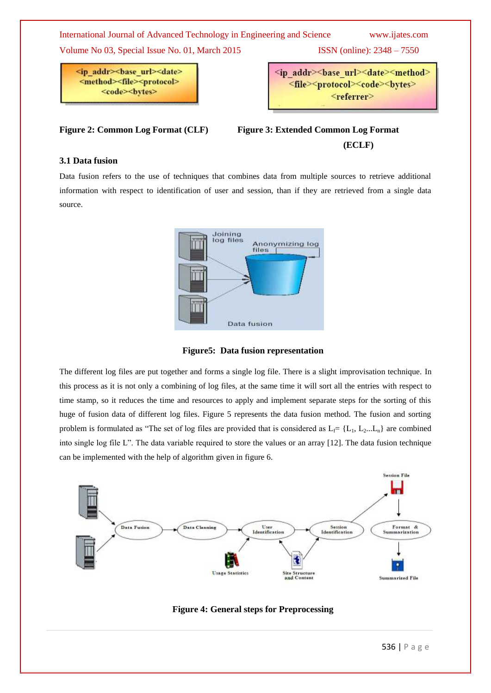International Journal of Advanced Technology in Engineering and Science www.ijates.com

Volume No 03, Special Issue No. 01, March 2015 ISSN (online): 2348 – 7550

<ip addr><br/>base url><date> <method><file><protocol> 

<ip addr><br/>base url><date><method> <file><protocol><code><br/><br/>>> <referrer>

**Figure 2: Common Log Format (CLF) Figure 3: Extended Common Log Format (ECLF)**

## **3.1 Data fusion**

Data fusion refers to the use of techniques that combines data from multiple sources to retrieve additional information with respect to identification of user and session, than if they are retrieved from a single data source.



**Figure5: Data fusion representation**

The different log files are put together and forms a single log file. There is a slight improvisation technique. In this process as it is not only a combining of log files, at the same time it will sort all the entries with respect to time stamp, so it reduces the time and resources to apply and implement separate steps for the sorting of this huge of fusion data of different log files. Figure 5 represents the data fusion method. The fusion and sorting problem is formulated as "The set of log files are provided that is considered as  $L_f= \{L_1, L_2...L_n\}$  are combined into single log file L". The data variable required to store the values or an array  $[12]$ . The data fusion technique can be implemented with the help of algorithm given in figure 6.



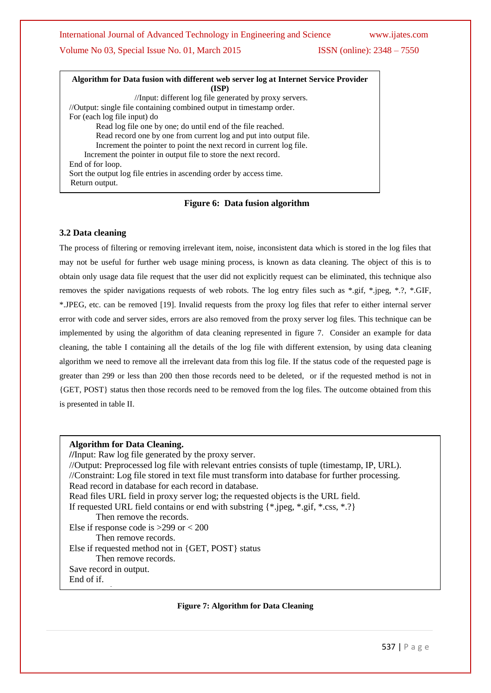International Journal of Advanced Technology in Engineering and Science www.ijates.com

## Volume No 03, Special Issue No. 01, March 2015 ISSN (online): 2348 – 7550

| Algorithm for Data fusion with different web server log at Internet Service Provider |  |  |  |  |  |  |
|--------------------------------------------------------------------------------------|--|--|--|--|--|--|
| (ISP)                                                                                |  |  |  |  |  |  |
| //Input: different log file generated by proxy servers.                              |  |  |  |  |  |  |
| //Output: single file containing combined output in timestamp order.                 |  |  |  |  |  |  |
| For (each log file input) do                                                         |  |  |  |  |  |  |
| Read log file one by one; do until end of the file reached.                          |  |  |  |  |  |  |
| Read record one by one from current log and put into output file.                    |  |  |  |  |  |  |
| Increment the pointer to point the next record in current log file.                  |  |  |  |  |  |  |
| Increment the pointer in output file to store the next record.                       |  |  |  |  |  |  |
| End of for loop.                                                                     |  |  |  |  |  |  |
| Sort the output log file entries in ascending order by access time.                  |  |  |  |  |  |  |
| Return output.                                                                       |  |  |  |  |  |  |
|                                                                                      |  |  |  |  |  |  |

#### **Figure 6: Data fusion algorithm**

### **3.2 Data cleaning**

The process of filtering or removing irrelevant item, noise, inconsistent data which is stored in the log files that may not be useful for further web usage mining process, is known as data cleaning. The object of this is to obtain only usage data file request that the user did not explicitly request can be eliminated, this technique also removes the spider navigations requests of web robots. The log entry files such as \*.gif, \*.jpeg, \*.?, \*.GIF, \*.JPEG, etc. can be removed [19]. Invalid requests from the proxy log files that refer to either internal server error with code and server sides, errors are also removed from the proxy server log files. This technique can be implemented by using the algorithm of data cleaning represented in figure 7. Consider an example for data cleaning, the table I containing all the details of the log file with different extension, by using data cleaning algorithm we need to remove all the irrelevant data from this log file. If the status code of the requested page is greater than 299 or less than 200 then those records need to be deleted, or if the requested method is not in {GET, POST} status then those records need to be removed from the log files. The outcome obtained from this is presented in table II.

#### **Algorithm for Data Cleaning.**

<u>Next record.</u>

**//**Input: Raw log file generated by the proxy server. //Output: Preprocessed log file with relevant entries consists of tuple (timestamp, IP, URL). //Constraint: Log file stored in text file must transform into database for further processing. Read record in database for each record in database. Read files URL field in proxy server log; the requested objects is the URL field. If requested URL field contains or end with substring {\*.jpeg, \*.gif, \*.css, \*.?} Then remove the records. Else if response code is >299 or < 200 Then remove records. Else if requested method not in {GET, POST} status Then remove records. Save record in output. End of if.

#### **Figure 7: Algorithm for Data Cleaning**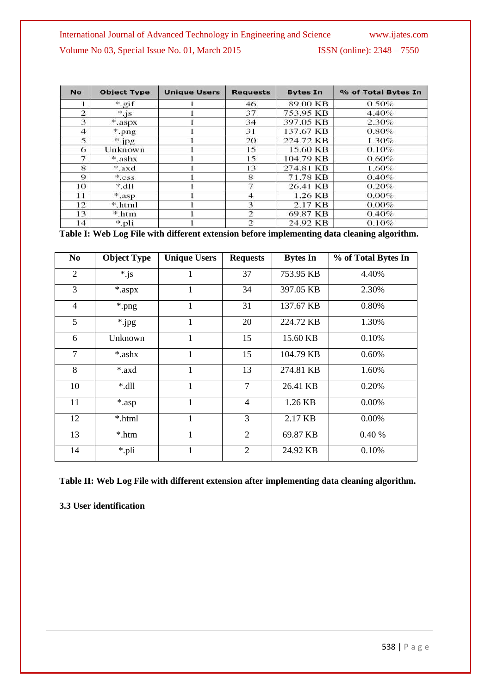| <b>No</b>      | <b>Object Type</b> | <b>Unique Users</b> | <b>Requests</b> | <b>Bytes In</b> | % of Total Bytes In |
|----------------|--------------------|---------------------|-----------------|-----------------|---------------------|
|                | $*$ gif            |                     | 46              | 89.00 KB        | 0.50%               |
| $\overline{2}$ | $*,$ js            |                     | 37              | 753.95 KB       | 4.40%               |
| 3              | *.aspx             |                     | 34              | 397.05 KB       | 2.30%               |
| 4              | $*$ .png           |                     | 31              | 137.67 KB       | 0.80%               |
| 5              | $"$ .jpg           |                     | 20              | 224.72 KB       | $1.30\%$            |
| 6              | Unknown            |                     | 15              | 15.60 KB        | 0.10%               |
| 7              | *.ashx             |                     | 15              | 104.79 KB       | 0.60%               |
| 8              | *.axd              |                     | 13              | 274.81 KB       | $1.60\%$            |
| $\Omega$       | $*$ . CSS.         |                     | 8               | 71.78 KB        | 0.40%               |
| 10.            | $*.$ dll           |                     | 7               | 26.41 KB        | 0.20%               |
| 11             | *.asp              |                     | 4               | 1.26 KB         | $0.00\%$            |
| 12             | *.html             |                     | 3               | 2.17 KB         | 0.00%               |
| 13             | *.htm              |                     | $\overline{2}$  | 69.87 KB        | 0.40%               |
| 14             | *.pli              |                     | $\overline{2}$  | 24.92 KB        | 0.10%               |

**Table I: Web Log File with different extension before implementing data cleaning algorithm.**

| No.            | <b>Object Type</b> | <b>Unique Users</b> | <b>Requests</b> | <b>Bytes In</b> | % of Total Bytes In |
|----------------|--------------------|---------------------|-----------------|-----------------|---------------------|
| 2              | $*$ js             | 1                   | 37              | 753.95 KB       | 4.40%               |
| 3              | *.aspx             | 1                   | 34              | 397.05 KB       | 2.30%               |
| $\overline{4}$ | *.png              | 1                   | 31              | 137.67 KB       | 0.80%               |
| 5              | *.jpg              | $\mathbf{1}$        | 20              | 224.72 KB       | 1.30%               |
| 6              | Unknown            | 1                   | 15              | 15.60 KB        | 0.10%               |
| $\overline{7}$ | *.ashx             | 1                   | 15              | 104.79 KB       | 0.60%               |
| 8              | *.axd              | 1                   | 13              | 274.81 KB       | 1.60%               |
| 10             | $*$ .dll           | 1                   | $\overline{7}$  | 26.41 KB        | 0.20%               |
| 11             | *.asp              | 1                   | $\overline{4}$  | 1.26 KB         | 0.00%               |
| 12             | *.html             | 1                   | 3               | 2.17 KB         | 0.00%               |
| 13             | *.htm              | 1                   | 2               | 69.87 KB        | 0.40%               |
| 14             | *.pli              | 1                   | $\overline{2}$  | 24.92 KB        | 0.10%               |

**Table II: Web Log File with different extension after implementing data cleaning algorithm.**

**3.3 User identification**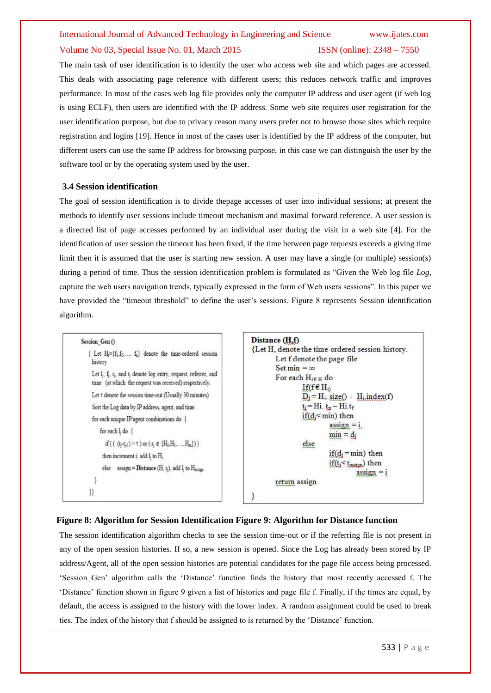The main task of user identification is to identify the user who access web site and which pages are accessed. This deals with associating page reference with different users; this reduces network traffic and improves performance. In most of the cases web log file provides only the computer IP address and user agent (if web log is using ECLF), then users are identified with the IP address. Some web site requires user registration for the user identification purpose, but due to privacy reason many users prefer not to browse those sites which require registration and logins [19]. Hence in most of the cases user is identified by the IP address of the computer, but different users can use the same IP address for browsing purpose, in this case we can distinguish the user by the software tool or by the operating system used by the user.

#### **3.4 Session identification**

The goal of session identification is to divide thepage accesses of user into individual sessions; at present the methods to identify user sessions include timeout mechanism and maximal forward reference. A user session is a directed list of page accesses performed by an individual user during the visit in a web site [4]. For the identification of user session the timeout has been fixed, if the time between page requests exceeds a giving time limit then it is assumed that the user is starting new session. A user may have a single (or multiple) session(s) during a period of time. Thus the session identification problem is formulated as "Given the Web log file *Log,* capture the web users navigation trends, typically expressed in the form of Web users sessions". In this paper we have provided the "timeout threshold" to define the user's sessions. Figure 8 represents Session identification algorithm.

```
Session Gen ()
   { Let H_i = \{f_1, f_2, ..., f_n\} denote the time-ordered session
     history
     Let l<sub>i</sub>, f<sub>i</sub>, r<sub>i</sub>, and t<sub>i</sub> denote log entry, request, referrer, and
     time (at which the request was received) respectively.
     Let t denote the session time-out (Usually 30 minutes)
     Sort the Log data by IP address, agent, and time.
     for each unique IP/agent combinations do {
          for each 1, do {
             if (((t_1-t_{j-1}) > \tau) or (\tau_1 \notin \{H_0, H_1, ..., H_m\}))
           then increment i, add l, to H,
           else assign = Distance (H, r<sub>1</sub>), add l<sub>1</sub> to H_{\text{action}}\overline{\phantom{a}}\{\}
```

```
Distance (H.f)
{Let H, denote the time ordered session history.
        Let f denote the page file
         Set min = \inftyFor each H<sub>i€ H</sub> do
                   If(f \in H_0)
                   D_i = H_i. size() - H_i. index(f)
                   t_i = Hi. t_n - Hi. t_fif(d<sub>i</sub> < min) thenassign = i,
                              min = d_ielse
                              if(d_i=min) then
                              if(t<sub>i</sub>< t<sub>assignment</sub>) then
                                         assign = ireturn assign
ł
```
### **Figure 8: Algorithm for Session Identification Figure 9: Algorithm for Distance function**

The session identification algorithm checks to see the session time-out or if the referring file is not present in any of the open session histories. If so, a new session is opened. Since the Log has already been stored by IP address/Agent, all of the open session histories are potential candidates for the page file access being processed. ‗Session\_Gen' algorithm calls the ‗Distance' function finds the history that most recently accessed f. The ‗Distance' function shown in figure 9 given a list of histories and page file f. Finally, if the times are equal, by default, the access is assigned to the history with the lower index. A random assignment could be used to break ties. The index of the history that f should be assigned to is returned by the 'Distance' function.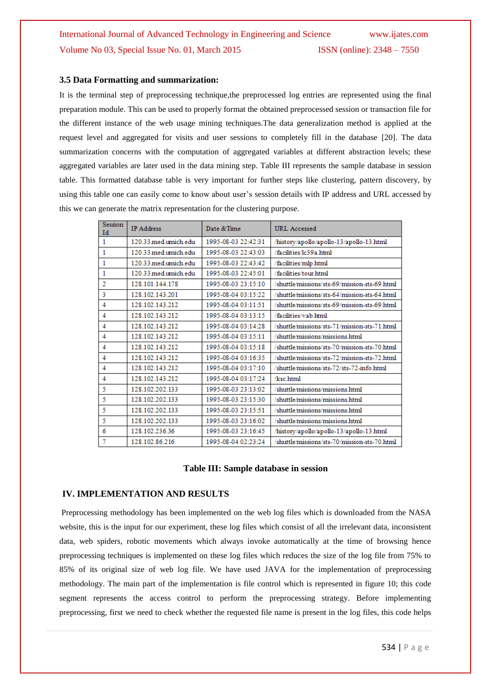#### **3.5 Data Formatting and summarization:**

It is the terminal step of preprocessing technique,the preprocessed log entries are represented using the final preparation module. This can be used to properly format the obtained preprocessed session or transaction file for the different instance of the web usage mining techniques.The data generalization method is applied at the request level and aggregated for visits and user sessions to completely fill in the database [20]. The data summarization concerns with the computation of aggregated variables at different abstraction levels; these aggregated variables are later used in the data mining step. Table III represents the sample database in session table. This formatted database table is very important for further steps like clustering, pattern discovery, by using this table one can easily come to know about user's session details with IP address and URL accessed by this we can generate the matrix representation for the clustering purpose.

| <b>Session</b><br>Id | <b>IP</b> Address    | Date & Time         | <b>URL</b> Accessed                          |
|----------------------|----------------------|---------------------|----------------------------------------------|
| 1                    | 120.33 med.umich.edu | 1995-08-03 22:42:31 | history/apollo/apollo-13/apollo-13.html      |
| 1                    | 120.33 med.umich.edu | 1995-08-03 22:43:03 | /facilities/lc39a.html                       |
| 1                    | 120.33 med.umich.edu | 1995-08-03 22:43:42 | facilities/mlp.html                          |
| 1                    | 120.33 med.umich.edu | 1995-08-03 22:45:01 | /facilities/tour.html                        |
| 2                    | 128.101.144.178      | 1995-08-03 23:15:10 | /shuttle/missions/sts-69/mission-sts-69.html |
| 3                    | 128.102.143.201      | 1995-08-04 03:15:22 | shuttle/missions/sts-64/mission-sts-64.html  |
| 4                    | 128.102.143.212      | 1995-08-04 03:11:51 | shuttle/missions/sts-69/mission-sts-69.html  |
| 4                    | 128.102.143.212      | 1995-08-04 03:13:15 | /facilities/vab.html                         |
| 4                    | 128.102.143.212      | 1995-08-04 03:14:28 | /shuttle/missions/sts-71/mission-sts-71.html |
| 4                    | 128.102.143.212      | 1995-08-04 03:15:11 | shuttle/missions/missions.html               |
| 4                    | 128.102.143.212      | 1995-08-04 03:15:18 | /shuttle/missions/sts-70/mission-sts-70.html |
| 4                    | 128.102.143.212      | 1995-08-04 03:16:35 | /shuttle/missions/sts-72/mission-sts-72.html |
| 4                    | 128.102.143.212      | 1995-08-04 03:17:10 | /shuttle/missions/sts-72/sts-72-info.html    |
| 4                    | 128.102.143.212      | 1995-08-04 03:17:24 | /ksc.html                                    |
| 5                    | 128.102.202.133      | 1995-08-03 23:13:02 | shuttle/missions/missions.html               |
| 5                    | 128.102.202.133      | 1995-08-03 23:15:30 | shuttle/missions/missions.html               |
| 5                    | 128.102.202.133      | 1995-08-03 23:15:51 | shuttle/missions/missions.html               |
| 5                    | 128.102.202.133      | 1995-08-03 23:16:02 | shuttle/missions/missions.html               |
| 6                    | 128.102.236.36       | 1995-08-03 23:16:45 | history/apollo/apollo-13/apollo-13.html      |
| 7                    | 128.102.86.216       | 1995-08-04 02:23:24 | shuttle/missions/sts-70/mission-sts-70.html  |

#### **Table III: Sample database in session**

#### **IV. IMPLEMENTATION AND RESULTS**

Preprocessing methodology has been implemented on the web log files which is downloaded from the NASA website, this is the input for our experiment, these log files which consist of all the irrelevant data, inconsistent data, web spiders, robotic movements which always invoke automatically at the time of browsing hence preprocessing techniques is implemented on these log files which reduces the size of the log file from 75% to 85% of its original size of web log file. We have used JAVA for the implementation of preprocessing methodology. The main part of the implementation is file control which is represented in figure 10; this code segment represents the access control to perform the preprocessing strategy. Before implementing preprocessing, first we need to check whether the requested file name is present in the log files, this code helps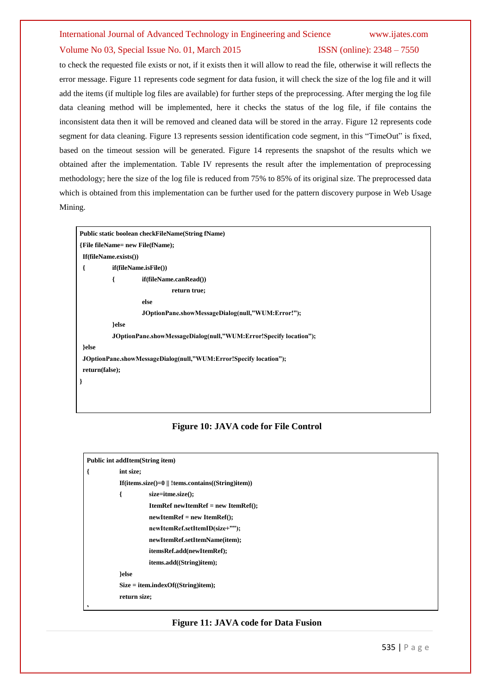to check the requested file exists or not, if it exists then it will allow to read the file, otherwise it will reflects the error message. Figure 11 represents code segment for data fusion, it will check the size of the log file and it will add the items (if multiple log files are available) for further steps of the preprocessing. After merging the log file data cleaning method will be implemented, here it checks the status of the log file, if file contains the inconsistent data then it will be removed and cleaned data will be stored in the array. Figure 12 represents code segment for data cleaning. Figure 13 represents session identification code segment, in this "TimeOut" is fixed, based on the timeout session will be generated. Figure 14 represents the snapshot of the results which we obtained after the implementation. Table IV represents the result after the implementation of preprocessing methodology; here the size of the log file is reduced from 75% to 85% of its original size. The preprocessed data which is obtained from this implementation can be further used for the pattern discovery purpose in Web Usage Mining.

|                              | Public static boolean checkFileName(String fName)                 |
|------------------------------|-------------------------------------------------------------------|
|                              | {File fileName= new File(fName);                                  |
| $If$ (fileName.exists $()$ ) |                                                                   |
| ſ                            | if (fileName.isFile())                                            |
| ſ                            | if(fileName.canRead())                                            |
|                              | return true;                                                      |
|                              | else                                                              |
|                              | JOptionPane.showMessageDialog(null,"WUM:Error!");                 |
|                              | }else                                                             |
|                              | JOptionPane.showMessageDialog(null,"WUM:Error!Specify location"); |
| }else                        |                                                                   |
|                              | JOptionPane.showMessageDialog(null,"WUM:Error!Specify location"); |
| return(false);               |                                                                   |
| ł                            |                                                                   |

### **Figure 10: JAVA code for File Control**



#### **Figure 11: JAVA code for Data Fusion**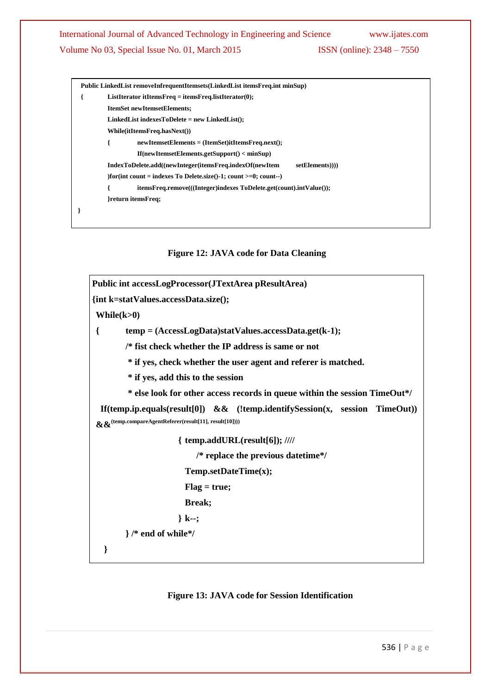|   | Public LinkedList removeInfrequentItemsets(LinkedList itemsFreq.int minSup)                              |  |  |  |  |  |
|---|----------------------------------------------------------------------------------------------------------|--|--|--|--|--|
| ₹ | ListIterator itItemsFreq = itemsFreq.listIterator(0);                                                    |  |  |  |  |  |
|   | <b>ItemSet newItemsetElements;</b>                                                                       |  |  |  |  |  |
|   | $LinkedList indexesToDelete = new LinkedList();$                                                         |  |  |  |  |  |
|   | While(itItemsFreq.hasNext())                                                                             |  |  |  |  |  |
|   | $newItems \varepsilon \varepsilon \varepsilon = (Item \varepsilon \varepsilon)$ itItemsFreq.next();<br>ł |  |  |  |  |  |
|   | $If$ (newItemsetElements.getSupport() < minSup)                                                          |  |  |  |  |  |
|   | setElements))))<br>IndexToDelete.add((newInteger(itemsFreq.indexOf(newItem                               |  |  |  |  |  |
|   | )for(int count = indexes To Delete.size()-1; count $>=0$ ; count--)                                      |  |  |  |  |  |
|   | itemsFreq.remove(((Integer)indexes ToDelete.get(count).intValue());                                      |  |  |  |  |  |
|   | }return itemsFreq;                                                                                       |  |  |  |  |  |
|   |                                                                                                          |  |  |  |  |  |

## **Figure 12: JAVA code for Data Cleaning**

```
Public int accessLogProcessor(JTextArea pResultArea)
{int k=statValues.accessData.size();
While(k>0)
{ temp = (AccessLogData)statValues.accessData.get(k-1);
        /* fist check whether the IP address is same or not
         * if yes, check whether the user agent and referer is matched.
         * if yes, add this to the session
         * else look for other access records in queue within the session TimeOut*/
   If(temp.ip.equals(result[0]) && (!temp.identifySession(x, session TimeOut)) 
 &&(temp.compareAgentReferer(result[11], result[10])))
                      { temp.addURL(result[6]); ////
                            /* replace the previous datetime*/
                        Temp.setDateTime(x);
                        Flag = true;
                        Break;
                      } k--;
        } /* end of while*/
   }
```
### **Figure 13: JAVA code for Session Identification**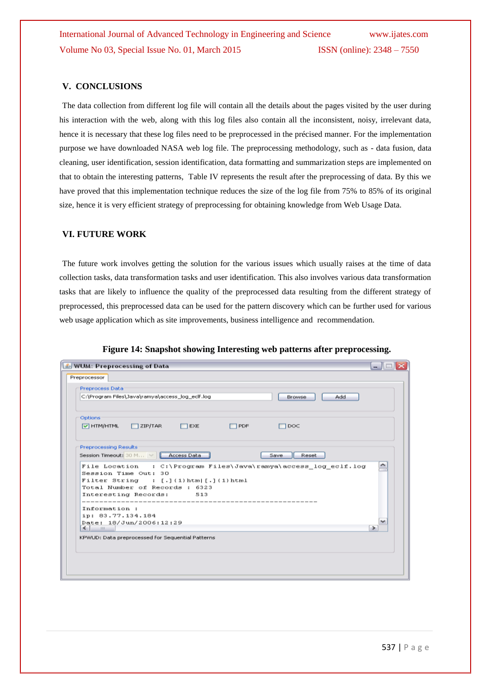## **V. CONCLUSIONS**

The data collection from different log file will contain all the details about the pages visited by the user during his interaction with the web, along with this log files also contain all the inconsistent, noisy, irrelevant data, hence it is necessary that these log files need to be preprocessed in the précised manner. For the implementation purpose we have downloaded NASA web log file. The preprocessing methodology, such as - data fusion, data cleaning, user identification, session identification, data formatting and summarization steps are implemented on that to obtain the interesting patterns, Table IV represents the result after the preprocessing of data. By this we have proved that this implementation technique reduces the size of the log file from 75% to 85% of its original size, hence it is very efficient strategy of preprocessing for obtaining knowledge from Web Usage Data.

#### **VI. FUTURE WORK**

The future work involves getting the solution for the various issues which usually raises at the time of data collection tasks, data transformation tasks and user identification. This also involves various data transformation tasks that are likely to influence the quality of the preprocessed data resulting from the different strategy of preprocessed, this preprocessed data can be used for the pattern discovery which can be further used for various web usage application which as site improvements, business intelligence and recommendation.

| <b>S</b> WUM: Preprocessing of Data                                                     | - 10               |
|-----------------------------------------------------------------------------------------|--------------------|
| Preprocessor                                                                            |                    |
| Preprocess Data                                                                         |                    |
| C:\Program Files\Java\ramya\access_log_eclf.log<br>Add<br>Browse                        |                    |
| Options                                                                                 |                    |
| $\sqrt{ }$ HTM/HTML<br>$\Box$ ZIP/TAR<br>$\Box$ EXE<br>$\Box$ PDF<br>⊟ рос              |                    |
| <b>Preprocessing Results</b>                                                            |                    |
| Session Timeout: 30 M       Access Data<br>Reset<br>Save                                |                    |
|                                                                                         |                    |
| File Location : C:\Program Files\Java\ramya\access_log_eclf.log<br>Session Time Out: 30 |                    |
| $Filter$ String : $[.]$ (1)html[.](1)html                                               |                    |
| Total Number of Records : 6323                                                          |                    |
| Interesting Records:<br>513                                                             |                    |
| --------                                                                                |                    |
| Information:                                                                            |                    |
| ip: 83.77.134.184                                                                       |                    |
| Date: 18/Jun/2006:12:29<br>$\leq$ $\qquad$                                              | ¥<br>$\rightarrow$ |
|                                                                                         |                    |
| KPWUD: Data preprocessed for Sequential Patterns                                        |                    |
|                                                                                         |                    |
|                                                                                         |                    |
|                                                                                         |                    |
|                                                                                         |                    |

**Figure 14: Snapshot showing Interesting web patterns after preprocessing.**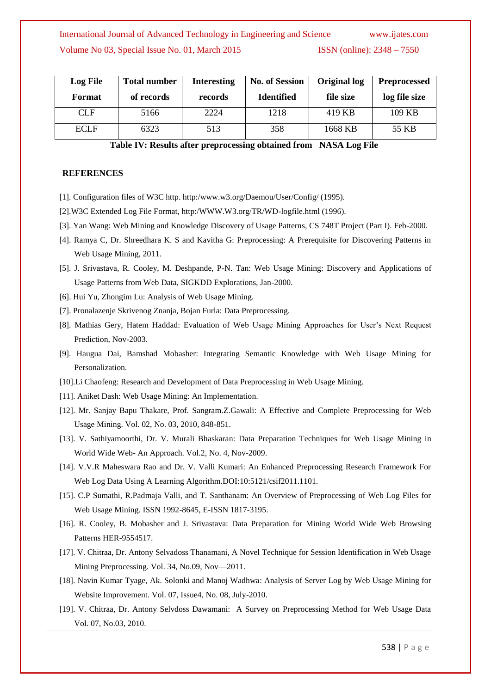| <b>Log File</b> | <b>Total number</b> | <b>Interesting</b> | <b>No. of Session</b> | <b>Original log</b> | <b>Preprocessed</b> |
|-----------------|---------------------|--------------------|-----------------------|---------------------|---------------------|
| Format          | of records          | records            | <b>Identified</b>     | file size           | log file size       |
| <b>CLF</b>      | 5166                | 2224               | 1218                  | 419 KB              | 109 KB              |
| <b>ECLF</b>     | 6323                | 513                | 358                   | 1668 KB             | 55 KB               |

**Table IV: Results after preprocessing obtained from NASA Log File**

#### **REFERENCES**

- [1]. Configuration files of W3C http. http:/www.w3.org/Daemou/User/Config/ (1995).
- [2].W3C Extended Log File Format, http:/WWW.W3.org/TR/WD-logfile.html (1996).
- [3]. Yan Wang: Web Mining and Knowledge Discovery of Usage Patterns, CS 748T Project (Part I). Feb-2000.
- [4]. Ramya C, Dr. Shreedhara K. S and Kavitha G: Preprocessing: A Prerequisite for Discovering Patterns in Web Usage Mining, 2011.
- [5]. J. Srivastava, R. Cooley, M. Deshpande, P-N. Tan: Web Usage Mining: Discovery and Applications of Usage Patterns from Web Data, SIGKDD Explorations, Jan-2000.
- [6]. Hui Yu, Zhongim Lu: Analysis of Web Usage Mining.
- [7]. Pronalazenje Skrivenog Znanja, Bojan Furla: Data Preprocessing.
- [8]. Mathias Gery, Hatem Haddad: Evaluation of Web Usage Mining Approaches for User's Next Request Prediction, Nov-2003.
- [9]. Haugua Dai, Bamshad Mobasher: Integrating Semantic Knowledge with Web Usage Mining for Personalization.
- [10].Li Chaofeng: Research and Development of Data Preprocessing in Web Usage Mining.
- [11]. Aniket Dash: Web Usage Mining: An Implementation.
- [12]. Mr. Sanjay Bapu Thakare, Prof. Sangram.Z.Gawali: A Effective and Complete Preprocessing for Web Usage Mining. Vol. 02, No. 03, 2010, 848-851.
- [13]. V. Sathiyamoorthi, Dr. V. Murali Bhaskaran: Data Preparation Techniques for Web Usage Mining in World Wide Web- An Approach. Vol.2, No. 4, Nov-2009.
- [14]. V.V.R Maheswara Rao and Dr. V. Valli Kumari: An Enhanced Preprocessing Research Framework For Web Log Data Using A Learning Algorithm.DOI:10:5121/csif2011.1101.
- [15]. C.P Sumathi, R.Padmaja Valli, and T. Santhanam: An Overview of Preprocessing of Web Log Files for Web Usage Mining. ISSN 1992-8645, E-ISSN 1817-3195.
- [16]. R. Cooley, B. Mobasher and J. Srivastava: Data Preparation for Mining World Wide Web Browsing Patterns HER-9554517.
- [17]. V. Chitraa, Dr. Antony Selvadoss Thanamani, A Novel Technique for Session Identification in Web Usage Mining Preprocessing. Vol. 34, No.09, Nov—2011.
- [18]. Navin Kumar Tyage, Ak. Solonki and Manoj Wadhwa: Analysis of Server Log by Web Usage Mining for Website Improvement. Vol. 07, Issue4, No. 08, July-2010.
- [19]. V. Chitraa, Dr. Antony Selvdoss Dawamani: A Survey on Preprocessing Method for Web Usage Data Vol. 07, No.03, 2010.